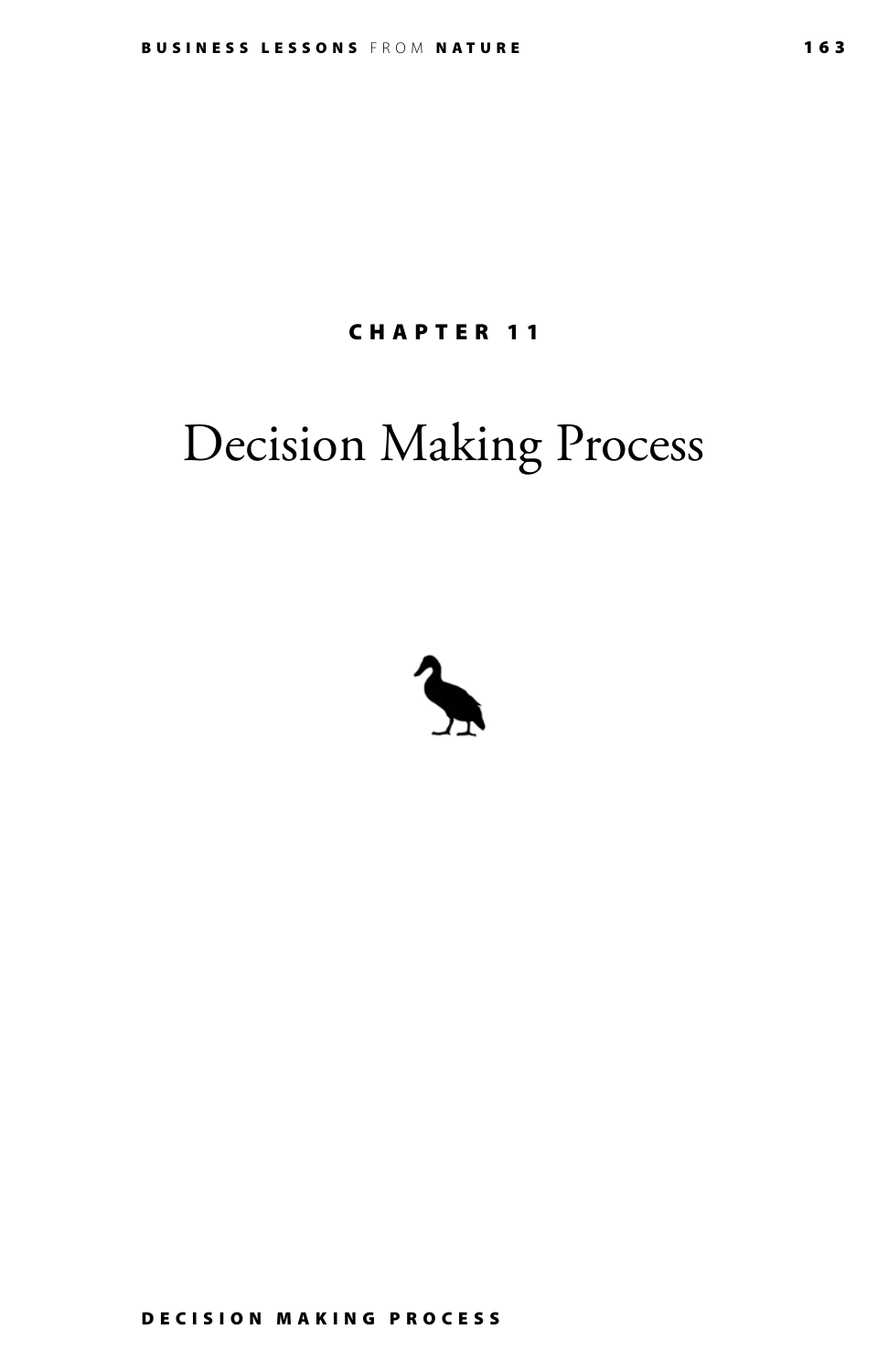## C H A P T E R 1 1

## Decision Making Process



DECISION MAKING PROCESS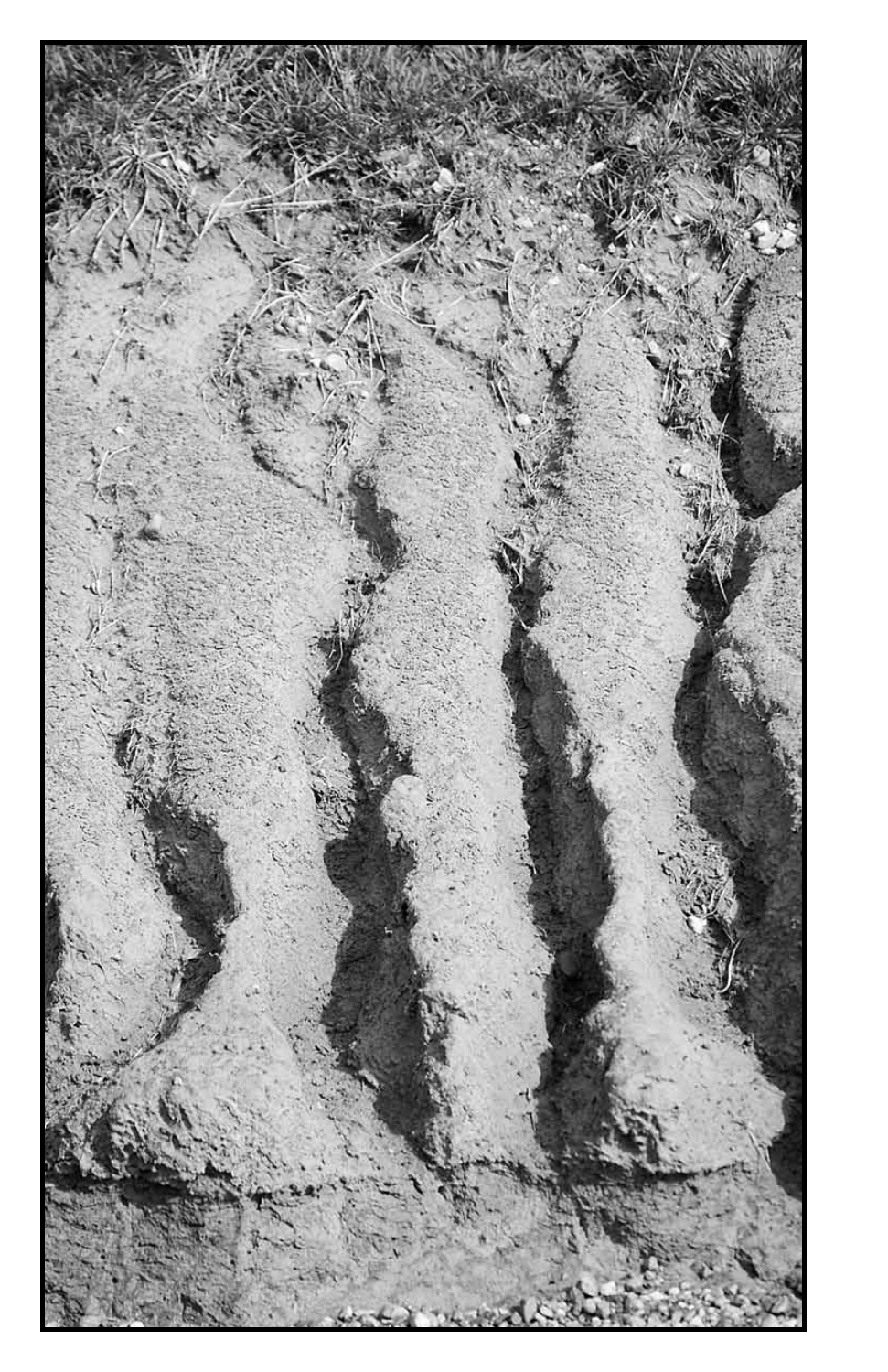